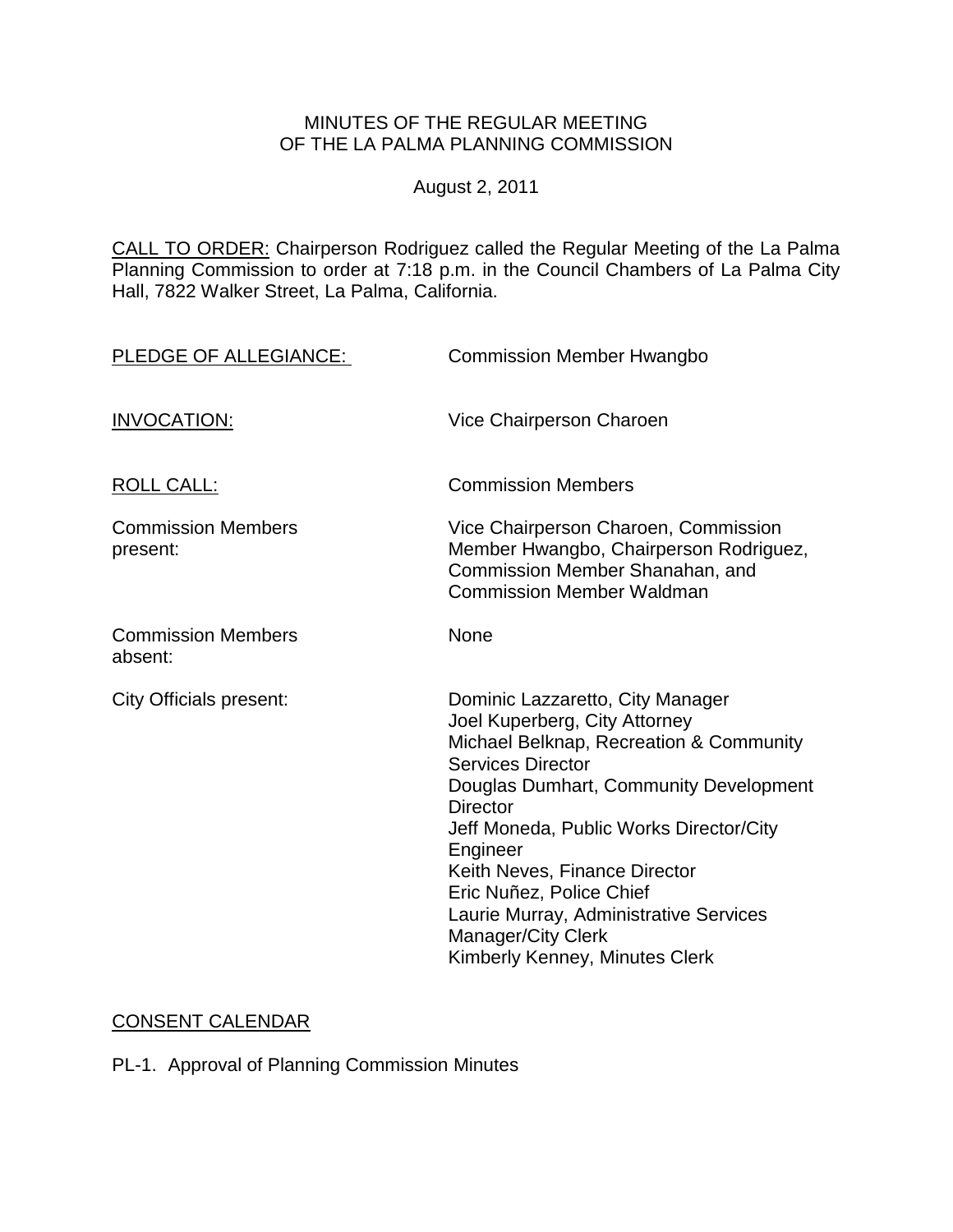## MINUTES OF THE REGULAR MEETING OF THE LA PALMA PLANNING COMMISSION

August 2, 2011

CALL TO ORDER: Chairperson [Rodriguez called the Regular Meeting of the La Palma](http://lapalma.granicus.com/MediaPlayerFrameHandler.php?view_id=&clip_id=604&meta_id=76770)  Planning Commission to order at 7:18 [p.m. in the Council Chambers of La Palma City](http://lapalma.granicus.com/MediaPlayerFrameHandler.php?view_id=&clip_id=604&meta_id=76770)  [Hall, 7822 Walker Street, La Palma, California.](http://lapalma.granicus.com/MediaPlayerFrameHandler.php?view_id=&clip_id=604&meta_id=76770) 

| PLEDGE OF ALLEGIANCE:                 | <b>Commission Member Hwangbo</b>                                                                                                                                                                                                                                                                                                                                                                                            |
|---------------------------------------|-----------------------------------------------------------------------------------------------------------------------------------------------------------------------------------------------------------------------------------------------------------------------------------------------------------------------------------------------------------------------------------------------------------------------------|
| <b>INVOCATION:</b>                    | Vice Chairperson Charoen                                                                                                                                                                                                                                                                                                                                                                                                    |
| <b>ROLL CALL:</b>                     | <b>Commission Members</b>                                                                                                                                                                                                                                                                                                                                                                                                   |
| <b>Commission Members</b><br>present: | Vice Chairperson Charoen, Commission<br>Member Hwangbo, Chairperson Rodriguez,<br>Commission Member Shanahan, and<br><b>Commission Member Waldman</b>                                                                                                                                                                                                                                                                       |
| <b>Commission Members</b><br>absent:  | None                                                                                                                                                                                                                                                                                                                                                                                                                        |
| City Officials present:               | Dominic Lazzaretto, City Manager<br>Joel Kuperberg, City Attorney<br>Michael Belknap, Recreation & Community<br><b>Services Director</b><br>Douglas Dumhart, Community Development<br><b>Director</b><br>Jeff Moneda, Public Works Director/City<br>Engineer<br>Keith Neves, Finance Director<br>Eric Nuñez, Police Chief<br>Laurie Murray, Administrative Services<br>Manager/City Clerk<br>Kimberly Kenney, Minutes Clerk |

# [CONSENT CALENDAR](http://lapalma.granicus.com/MediaPlayerFrameHandler.php?view_id=&clip_id=604&meta_id=76793)

PL-1. Approval of Planning Commission Minutes